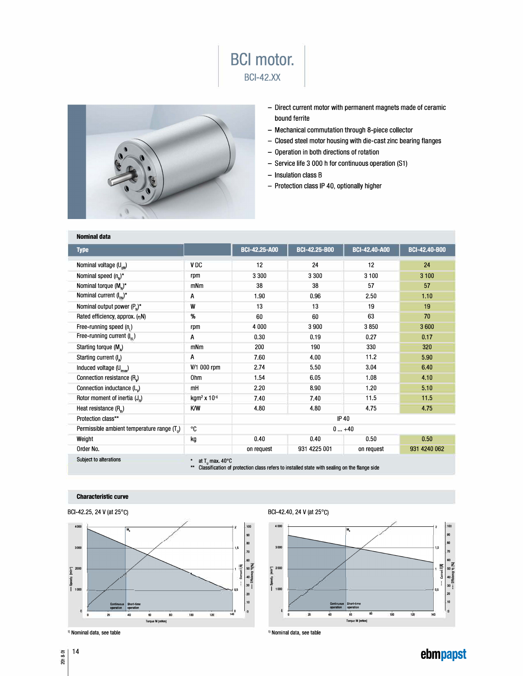



- Direct current motor with permanent magnets made of ceramic bound ferrite
- Mechanical commutation through 8-piece collector
- Closed steel motor housing with die-cast zinc bearing flanges
- Operation in both directions of rotation
- Service life 3 000 h for continuous operation (S1)
- Insulation class B
- Protection class IP 40, optionally higher

| <b>Nominal data</b>                                     |                                             |                                                                                              |                      |                      |                      |
|---------------------------------------------------------|---------------------------------------------|----------------------------------------------------------------------------------------------|----------------------|----------------------|----------------------|
| <b>Type</b>                                             |                                             | <b>BCI-42.25-A00</b>                                                                         | <b>BCI-42.25-B00</b> | <b>BCI-42.40-A00</b> | <b>BCI-42.40-B00</b> |
| Nominal voltage (U <sub>BN</sub> )                      | V <sub>DC</sub>                             | 12                                                                                           | 24                   | 12                   | 24                   |
| Nominal speed $(n_n)^*$                                 | rpm                                         | 3 3 0 0                                                                                      | 3 3 0 0              | 3 100                | 3 1 0 0              |
| Nominal torque $(M_{N})^*$                              | mNm                                         | 38                                                                                           | 38                   | 57                   | 57                   |
| Nominal current $(I_{\scriptscriptstyle\rm BN})^*$      | A                                           | 1.90                                                                                         | 0.96                 | 2.50                 | 1.10                 |
| Nominal output power $(P_n)^*$                          | W                                           | 13                                                                                           | 13                   | 19                   | 19                   |
| Rated efficiency, approx. (nN)                          | %                                           | 60                                                                                           | 60                   | 63                   | 70                   |
| Free-running speed $(n_1)$                              | rpm                                         | 4 0 0 0                                                                                      | 3 900                | 3850                 | 3600                 |
| Free-running current $(I_{\infty})$                     | A                                           | 0.30                                                                                         | 0.19                 | 0.27                 | 0.17                 |
| Starting torque (M <sub>a</sub> )                       | mNm                                         | 200                                                                                          | 190                  | 330                  | 320                  |
| Starting current $(I_{\lambda})$                        | A                                           | 7.60                                                                                         | 4.00                 | 11.2                 | 5.90                 |
| Induced voltage (U <sub>imax</sub> )                    | V/1 000 rpm                                 | 2.74                                                                                         | 5.50                 | 3.04                 | 6.40                 |
| Connection resistance (R <sub>v</sub> )                 | 0hm                                         | 1.54                                                                                         | 6.05                 | 1.08                 | 4.10                 |
| Connection inductance (L)                               | mH                                          | 2.20                                                                                         | 8.90                 | 1.20                 | 5.10                 |
| Rotor moment of inertia $(J_n)$                         | kgm <sup>2</sup> x 10-6                     | 7.40                                                                                         | 7.40                 | 11.5                 | 11.5                 |
| Heat resistance $(Rth)$                                 | K/W                                         | 4.80                                                                                         | 4.80                 | 4.75                 | 4.75                 |
| Protection class**                                      |                                             | <b>IP 40</b>                                                                                 |                      |                      |                      |
| Permissible ambient temperature range (T <sub>u</sub> ) | °C                                          | $0+40$                                                                                       |                      |                      |                      |
| Weight                                                  | kg                                          | 0.40                                                                                         | 0.40                 | 0.50                 | 0.50                 |
| Order No.                                               |                                             | on request                                                                                   | 931 4225 001         | on request           | 931 4240 062         |
| Subject to alterations                                  | at T <sub>u</sub> max. 40°C<br>$\star\star$ | Classification of protection class refers to installed state with sealing on the flange side |                      |                      |                      |

## **Characteristic curve**



**l** operation

**operation** 

**1-------r-'--'----i'--�-�--�-�----fo** 

**TorqueM(mNmJ** 

 $1,5$ 

 $\frac{40}{30}$ <br>  $\frac{1}{20}$ <br>  $\frac{40}{20}$ 

**10** 

 $\frac{1}{140}$ 



<sup>0</sup>14 2018-0